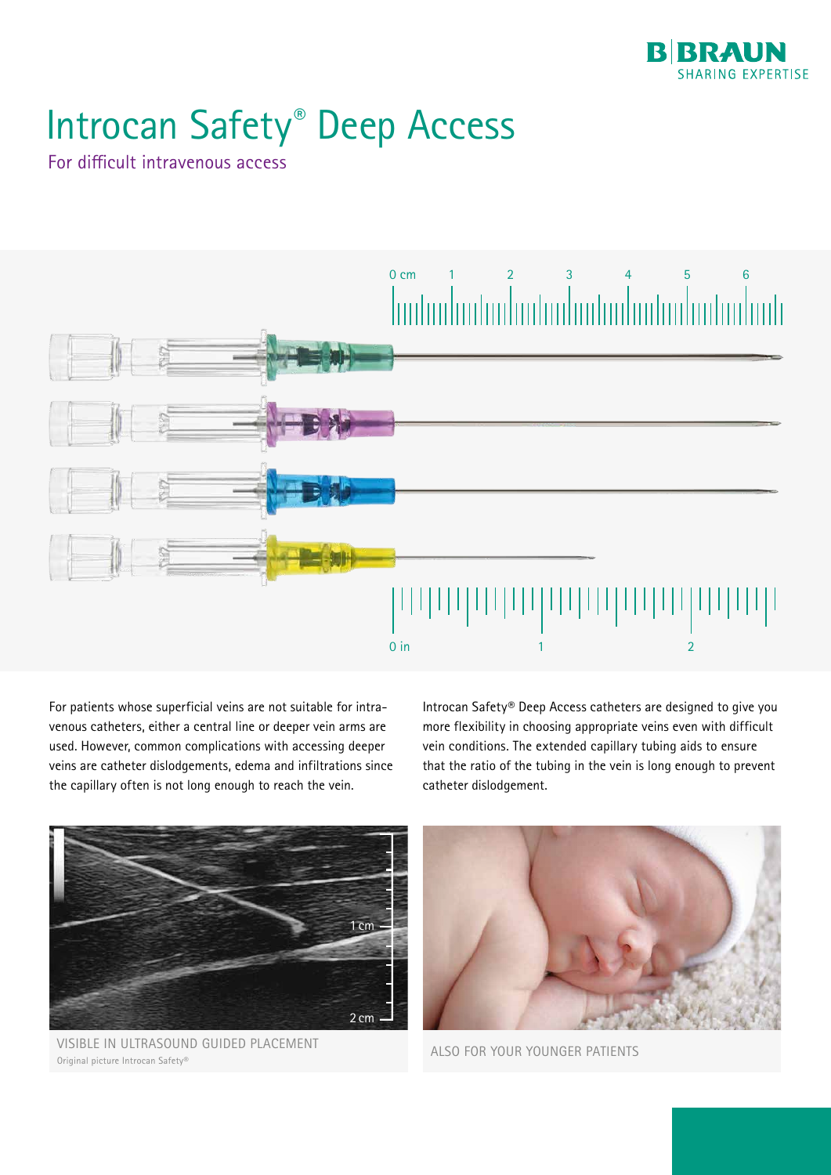

## Introcan Safety® Deep Access

For difficult intravenous access



For patients whose superficial veins are not suitable for intravenous catheters, either a central line or deeper vein arms are used. However, common complications with accessing deeper veins are catheter dislodgements, edema and infiltrations since the capillary often is not long enough to reach the vein.

Introcan Safety® Deep Access catheters are designed to give you more flexibility in choosing appropriate veins even with difficult vein conditions. The extended capillary tubing aids to ensure that the ratio of the tubing in the vein is long enough to prevent catheter dislodgement.



VISIBLE IN ULTRASOUND GUIDED PLACEMENT ALSO FOR YOUR YOUNGER PATIENTS Original picture Introcan Safety®